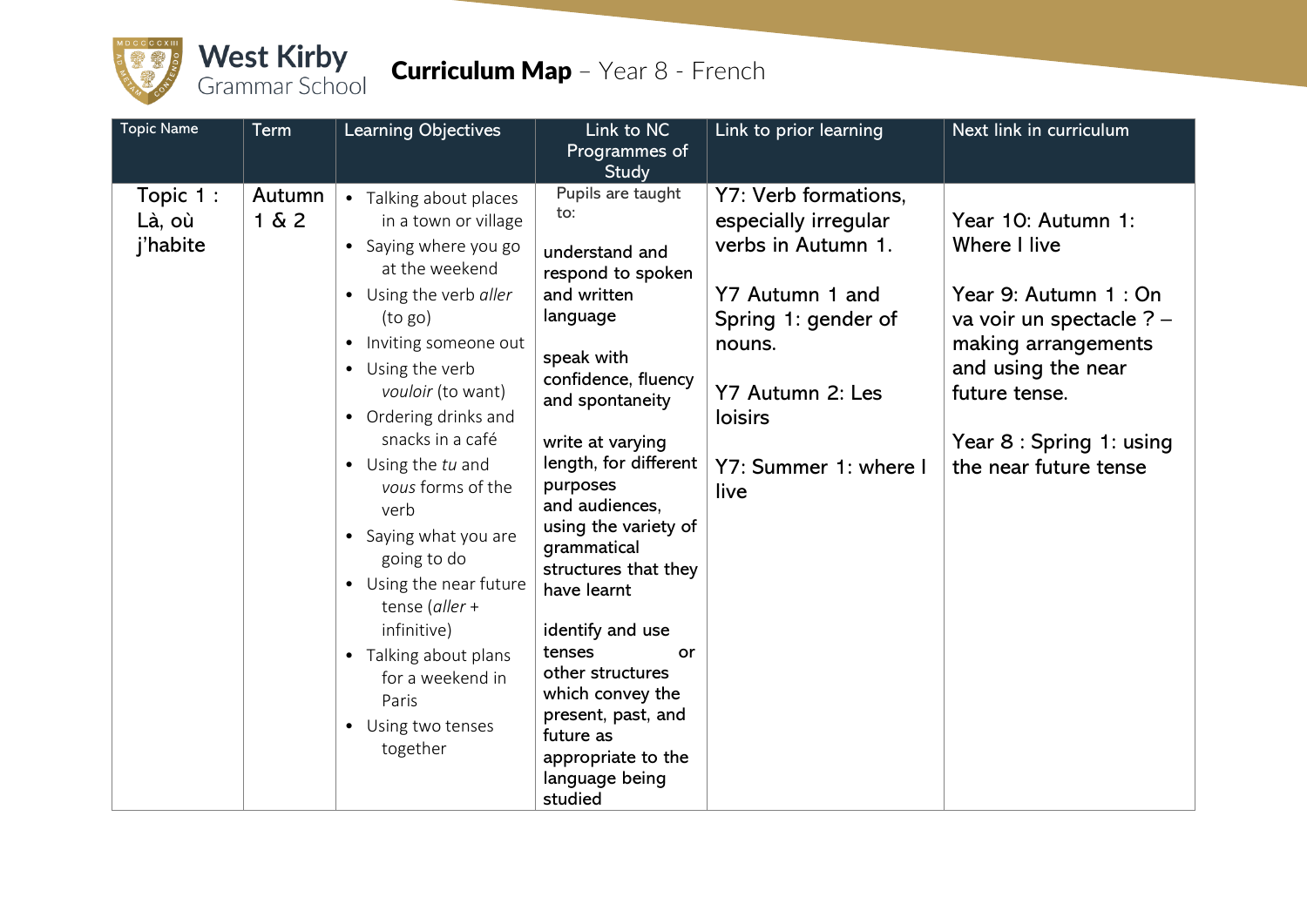

## West Kirby<br>Grammar School Curriculum Map - Year 8 - French

| <b>Topic Name</b>              | Term            | <b>Learning Objectives</b>                                                                                                                                                                                                                                                                                                                                                                                                                                                                                          | Link to NC<br>Programmes of<br>Study                                                                                                                                                                                                                                                                                                                                                                                                                                          | Link to prior learning                                                                                                                                                                 | Next link in curriculum                                                                                                                                                                                    |
|--------------------------------|-----------------|---------------------------------------------------------------------------------------------------------------------------------------------------------------------------------------------------------------------------------------------------------------------------------------------------------------------------------------------------------------------------------------------------------------------------------------------------------------------------------------------------------------------|-------------------------------------------------------------------------------------------------------------------------------------------------------------------------------------------------------------------------------------------------------------------------------------------------------------------------------------------------------------------------------------------------------------------------------------------------------------------------------|----------------------------------------------------------------------------------------------------------------------------------------------------------------------------------------|------------------------------------------------------------------------------------------------------------------------------------------------------------------------------------------------------------|
| Topic 1:<br>Là, où<br>j'habite | Autumn<br>1 & 2 | • Talking about places<br>in a town or village<br>• Saying where you go<br>at the weekend<br>• Using the verb aller<br>(to go)<br>Inviting someone out<br>$\bullet$<br>• Using the verb<br>vouloir (to want)<br>• Ordering drinks and<br>snacks in a café<br>• Using the tu and<br>vous forms of the<br>verb<br>• Saying what you are<br>going to do<br>• Using the near future<br>tense (aller +<br>infinitive)<br>• Talking about plans<br>for a weekend in<br>Paris<br>Using two tenses<br>$\bullet$<br>together | Pupils are taught<br>to:<br>understand and<br>respond to spoken<br>and written<br>language<br>speak with<br>confidence, fluency<br>and spontaneity<br>write at varying<br>length, for different<br>purposes<br>and audiences,<br>using the variety of<br>grammatical<br>structures that they<br>have learnt<br>identify and use<br>tenses<br>or<br>other structures<br>which convey the<br>present, past, and<br>future as<br>appropriate to the<br>language being<br>studied | Y7: Verb formations,<br>especially irregular<br>verbs in Autumn 1.<br>Y7 Autumn 1 and<br>Spring 1: gender of<br>nouns.<br>Y7 Autumn 2: Les<br>loisirs<br>Y7: Summer 1: where I<br>live | Year 10: Autumn 1:<br>Where I live<br>Year 9: Autumn 1 : On<br>va voir un spectacle ? -<br>making arrangements<br>and using the near<br>future tense.<br>Year 8 : Spring 1: using<br>the near future tense |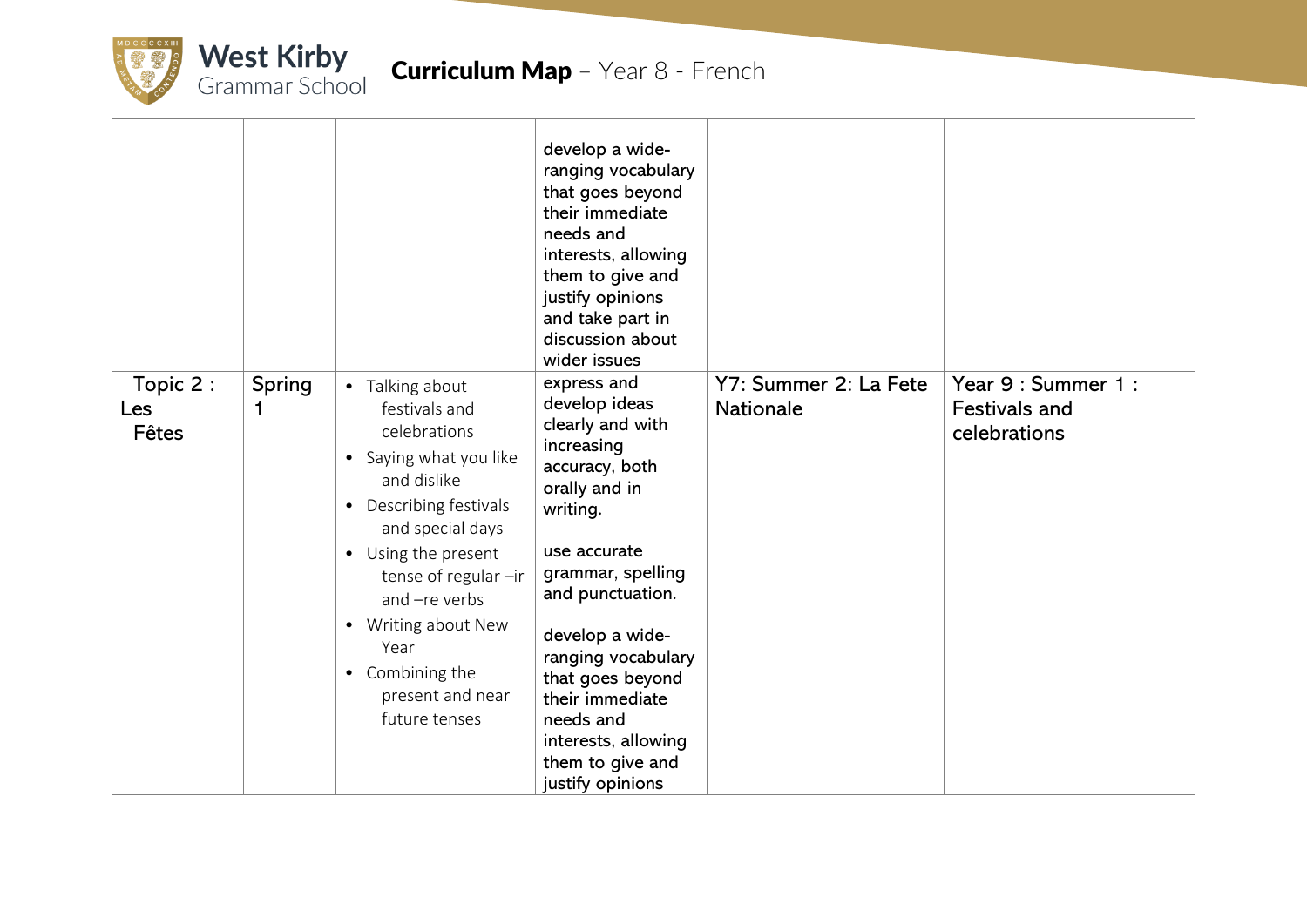

|                          |                    |                                                                                                                                                                                                                                                                                                | develop a wide-<br>ranging vocabulary<br>that goes beyond<br>their immediate<br>needs and<br>interests, allowing<br>them to give and<br>justify opinions<br>and take part in<br>discussion about<br>wider issues                                                                                                                   |                                           |                                                             |
|--------------------------|--------------------|------------------------------------------------------------------------------------------------------------------------------------------------------------------------------------------------------------------------------------------------------------------------------------------------|------------------------------------------------------------------------------------------------------------------------------------------------------------------------------------------------------------------------------------------------------------------------------------------------------------------------------------|-------------------------------------------|-------------------------------------------------------------|
| Topic 2:<br>Les<br>Fêtes | <b>Spring</b><br>1 | • Talking about<br>festivals and<br>celebrations<br>• Saying what you like<br>and dislike<br>• Describing festivals<br>and special days<br>• Using the present<br>tense of regular -ir<br>and -re verbs<br>• Writing about New<br>Year<br>• Combining the<br>present and near<br>future tenses | express and<br>develop ideas<br>clearly and with<br>increasing<br>accuracy, both<br>orally and in<br>writing.<br>use accurate<br>grammar, spelling<br>and punctuation.<br>develop a wide-<br>ranging vocabulary<br>that goes beyond<br>their immediate<br>needs and<br>interests, allowing<br>them to give and<br>justify opinions | Y7: Summer 2: La Fete<br><b>Nationale</b> | Year 9 : Summer 1 :<br><b>Festivals and</b><br>celebrations |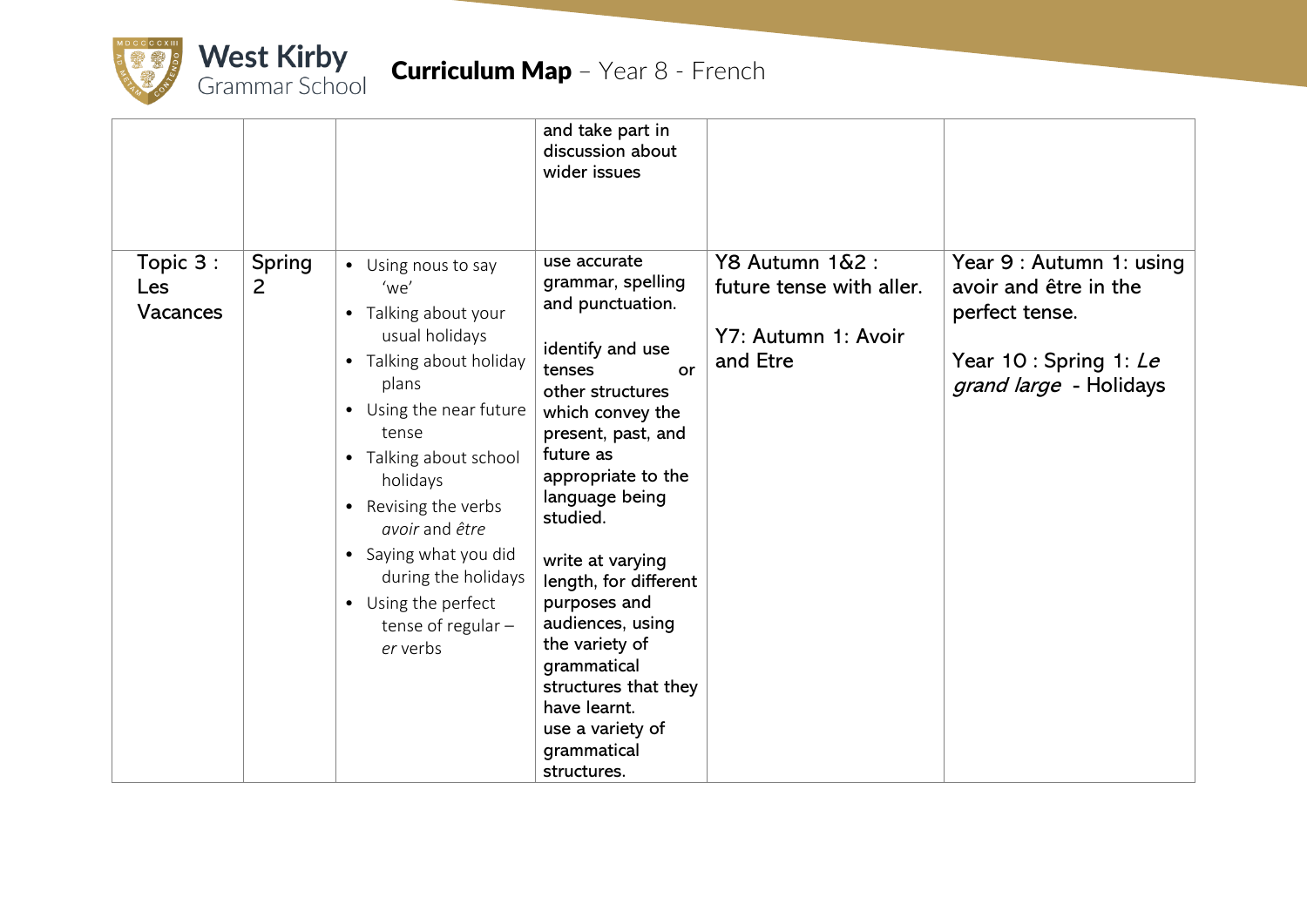

|                             |                    |                                                                                                                                                                                                                                                                                                                                          | and take part in<br>discussion about<br>wider issues                                                                                                                                                                                                                                                                                                                                                                                 |                                                                                |                                                                                                                         |
|-----------------------------|--------------------|------------------------------------------------------------------------------------------------------------------------------------------------------------------------------------------------------------------------------------------------------------------------------------------------------------------------------------------|--------------------------------------------------------------------------------------------------------------------------------------------------------------------------------------------------------------------------------------------------------------------------------------------------------------------------------------------------------------------------------------------------------------------------------------|--------------------------------------------------------------------------------|-------------------------------------------------------------------------------------------------------------------------|
| Topic 3:<br>Les<br>Vacances | <b>Spring</b><br>2 | • Using nous to say<br>'we'<br>• Talking about your<br>usual holidays<br>• Talking about holiday<br>plans<br>• Using the near future<br>tense<br>• Talking about school<br>holidays<br>• Revising the verbs<br>avoir and être<br>• Saying what you did<br>during the holidays<br>• Using the perfect<br>tense of regular $-$<br>er verbs | use accurate<br>grammar, spelling<br>and punctuation.<br>identify and use<br>tenses<br>or<br>other structures<br>which convey the<br>present, past, and<br>future as<br>appropriate to the<br>language being<br>studied.<br>write at varying<br>length, for different<br>purposes and<br>audiences, using<br>the variety of<br>grammatical<br>structures that they<br>have learnt.<br>use a variety of<br>grammatical<br>structures. | Y8 Autumn 1&2 :<br>future tense with aller.<br>Y7: Autumn 1: Avoir<br>and Etre | Year 9 : Autumn 1: using<br>avoir and être in the<br>perfect tense.<br>Year 10 : Spring 1: Le<br>grand large - Holidays |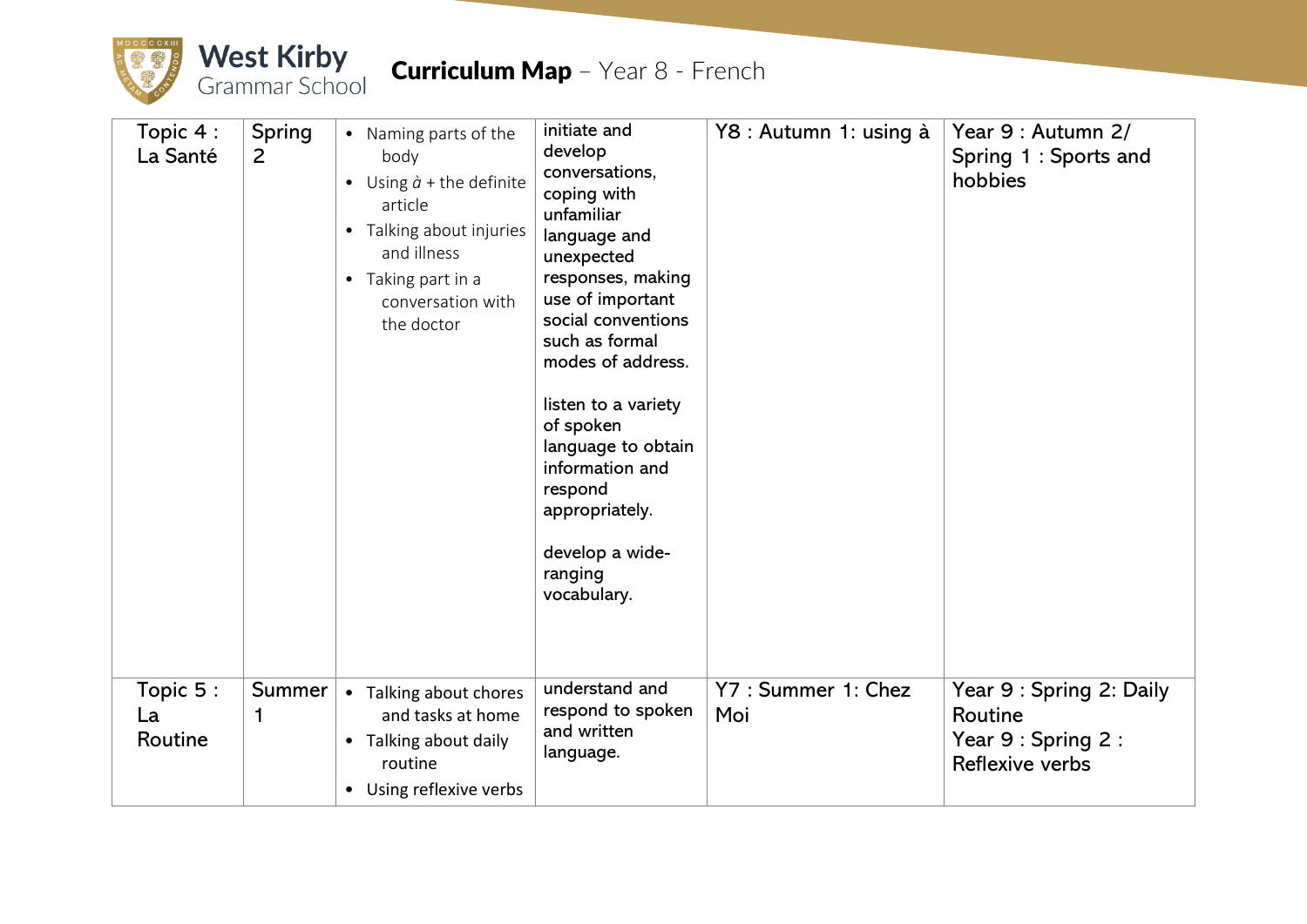

| Topic 4:<br>La Santé      | Spring<br>2 | • Naming parts of the<br>body<br>• Using $\dot{a}$ + the definite<br>article<br>• Talking about injuries<br>and illness<br>• Taking part in a<br>conversation with<br>the doctor | initiate and<br>develop<br>conversations,<br>coping with<br>unfamiliar<br>language and<br>unexpected<br>responses, making<br>use of important<br>social conventions<br>such as formal<br>modes of address.<br>listen to a variety<br>of spoken<br>language to obtain<br>information and<br>respond<br>appropriately.<br>develop a wide-<br>ranging<br>vocabulary. | Y8 : Autumn 1: using à     | Year 9 : Autumn 2/<br>Spring 1 : Sports and<br>hobbies                        |
|---------------------------|-------------|----------------------------------------------------------------------------------------------------------------------------------------------------------------------------------|-------------------------------------------------------------------------------------------------------------------------------------------------------------------------------------------------------------------------------------------------------------------------------------------------------------------------------------------------------------------|----------------------------|-------------------------------------------------------------------------------|
| Topic 5:<br>La<br>Routine | Summer<br>1 | • Talking about chores<br>and tasks at home<br>• Talking about daily<br>routine<br>• Using reflexive verbs                                                                       | understand and<br>respond to spoken<br>and written<br>language.                                                                                                                                                                                                                                                                                                   | Y7 : Summer 1: Chez<br>Moi | Year 9 : Spring 2: Daily<br>Routine<br>Year 9 : Spring 2 :<br>Reflexive verbs |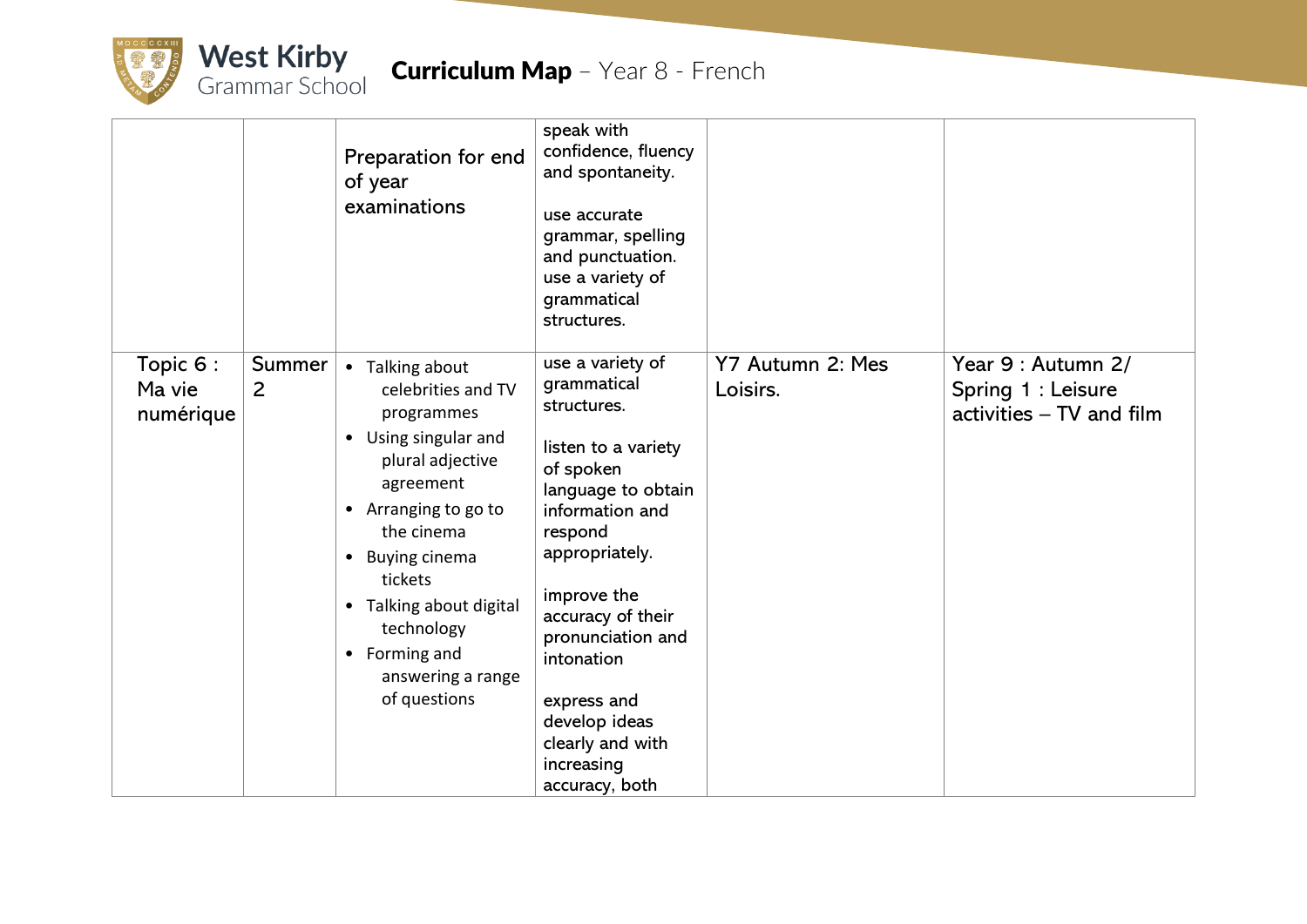

|                                 |                          | Preparation for end<br>of year<br>examinations                                                                                                                                                                                                                                                       | speak with<br>confidence, fluency<br>and spontaneity.<br>use accurate<br>grammar, spelling<br>and punctuation.<br>use a variety of<br>grammatical<br>structures.                                                                                                                                                    |                              |                                                                      |
|---------------------------------|--------------------------|------------------------------------------------------------------------------------------------------------------------------------------------------------------------------------------------------------------------------------------------------------------------------------------------------|---------------------------------------------------------------------------------------------------------------------------------------------------------------------------------------------------------------------------------------------------------------------------------------------------------------------|------------------------------|----------------------------------------------------------------------|
| Topic 6:<br>Ma vie<br>numérique | Summer<br>$\overline{2}$ | • Talking about<br>celebrities and TV<br>programmes<br>Using singular and<br>$\bullet$<br>plural adjective<br>agreement<br>• Arranging to go to<br>the cinema<br><b>Buying cinema</b><br>٠<br>tickets<br>• Talking about digital<br>technology<br>• Forming and<br>answering a range<br>of questions | use a variety of<br>grammatical<br>structures.<br>listen to a variety<br>of spoken<br>language to obtain<br>information and<br>respond<br>appropriately.<br>improve the<br>accuracy of their<br>pronunciation and<br>intonation<br>express and<br>develop ideas<br>clearly and with<br>increasing<br>accuracy, both | Y7 Autumn 2: Mes<br>Loisirs. | Year 9 : Autumn 2/<br>Spring 1 : Leisure<br>activities - TV and film |